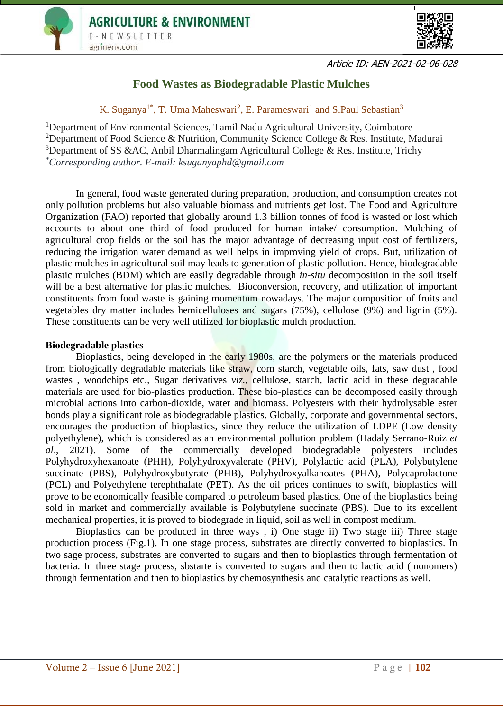



# **Food Wastes as Biodegradable Plastic Mulches**

K. Suganya<sup>1\*</sup>, T. Uma Maheswari<sup>2</sup>, E. Parameswari<sup>1</sup> and S. Paul Sebastian<sup>3</sup>

<sup>1</sup>Department of Environmental Sciences, Tamil Nadu Agricultural University, Coimbatore <sup>2</sup>Department of Food Science & Nutrition, Community Science College & Res. Institute, Madurai <sup>3</sup>Department of SS &AC, Anbil Dharmalingam Agricultural College & Res. Institute, Trichy *\*Corresponding author. E-mail: ksuganyaphd@gmail.com*

In general, food waste generated during preparation, production, and consumption creates not only pollution problems but also valuable biomass and nutrients get lost. The Food and Agriculture Organization (FAO) reported that globally around 1.3 billion tonnes of food is wasted or lost which accounts to about one third of food produced for human intake/ consumption. Mulching of agricultural crop fields or the soil has the major advantage of decreasing input cost of fertilizers, reducing the irrigation water demand as well helps in improving yield of crops. But, utilization of plastic mulches in agricultural soil may leads to generation of plastic pollution. Hence, biodegradable plastic mulches (BDM) which are easily degradable through *in-situ* decomposition in the soil itself will be a best alternative for plastic mulches. Bioconversion, recovery, and utilization of important constituents from food waste is gaining momentum nowadays. The major composition of fruits and vegetables dry matter includes hemicelluloses and sugars (75%), cellulose (9%) and lignin (5%). These constituents can be very well utilized for bioplastic mulch production.

# **Biodegradable plastics**

Bioplastics, being developed in the early 1980s, are the polymers or the materials produced from biologically degradable materials like straw, corn starch, vegetable oils, fats, saw dust , food wastes, woodchips etc., Sugar derivatives *viz.*, cellulose, starch, lactic acid in these degradable materials are used for bio-plastics production. These bio-plastics can be decomposed easily through microbial actions into carbon-dioxide, water and biomass. Polyesters with their hydrolysable ester bonds play a significant role as biodegradable plastics. Globally, corporate and governmental sectors, encourages the production of bioplastics, since they reduce the utilization of LDPE (Low density polyethylene), which is considered as an environmental pollution problem (Hadaly Serrano-Ruiz *et al*., 2021). Some of the commercially developed biodegradable polyesters includes Polyhydroxyhexanoate (PHH), Polyhydroxyvalerate (PHV), Polylactic acid (PLA), Polybutylene succinate (PBS), Polyhydroxybutyrate (PHB), Polyhydroxyalkanoates (PHA), Polycaprolactone (PCL) and Polyethylene terephthalate (PET). As the oil prices continues to swift, bioplastics will prove to be economically feasible compared to petroleum based plastics. One of the bioplastics being sold in market and commercially available is Polybutylene succinate (PBS). Due to its excellent mechanical properties, it is proved to biodegrade in liquid, soil as well in compost medium.

Bioplastics can be produced in three ways , i) One stage ii) Two stage iii) Three stage production process (Fig.1). In one stage process, substrates are directly converted to bioplastics. In two sage process, substrates are converted to sugars and then to bioplastics through fermentation of bacteria. In three stage process, sbstarte is converted to sugars and then to lactic acid (monomers) through fermentation and then to bioplastics by chemosynthesis and catalytic reactions as well.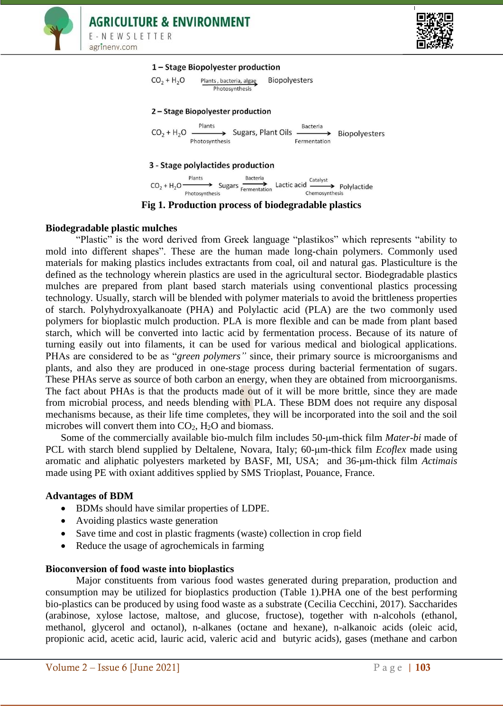



#### 1-Stage Biopolyester production



#### 2 - Stage Biopolyester production

 $CO_2 + H_2O \xrightarrow{\text{Plants}}$  Sugars, Plant Oils  $\xrightarrow{\text{Bacteria}}$  Biopolyesters

### 3 - Stage polylactides production

 $CO_2 + H_2O \xrightarrow{\text{Plants}}$  Sugars  $\overrightarrow{\text{fermentation}}$  Lactic acid  $\overrightarrow{\text{catalyst}}$  Polylactide

**Fig 1. Production process of biodegradable plastics**

#### **Biodegradable plastic mulches**

"Plastic" is the word derived from Greek language "plastikos" which represents "ability to mold into different shapes". These are the human made long-chain polymers. Commonly used materials for making plastics includes extractants from coal, oil and natural gas. Plasticulture is the defined as the technology wherein plastics are used in the agricultural sector. Biodegradable plastics mulches are prepared from plant based starch materials using conventional plastics processing technology. Usually, starch will be blended with polymer materials to avoid the brittleness properties of starch. Polyhydroxyalkanoate (PHA) and Polylactic acid (PLA) are the two commonly used polymers for bioplastic mulch production. PLA is more flexible and can be made from plant based starch, which will be converted into lactic acid by fermentation process. Because of its nature of turning easily out into filaments, it can be used for various medical and biological applications. PHAs are considered to be as "*green polymers"* since, their primary source is microorganisms and plants, and also they are produced in one-stage process during bacterial fermentation of sugars. These PHAs serve as source of both carbon an energy, when they are obtained from microorganisms. The fact about PHAs is that the products made out of it will be more brittle, since they are made from microbial process, and needs blending with PLA. These BDM does not require any disposal mechanisms because, as their life time completes, they will be incorporated into the soil and the soil microbes will convert them into  $CO<sub>2</sub>$ , H<sub>2</sub>O and biomass.

Some of the commercially available bio-mulch film includes 50-μm-thick film *Mater-bi* made of PCL with starch blend supplied by Deltalene, Novara, Italy; 60-μm-thick film *Ecoflex* made using aromatic and aliphatic polyesters marketed by BASF, MI, USA; and 36-μm-thick film *Actimais* made using PE with oxiant additives spplied by SMS Trioplast, Pouance, France.

#### **Advantages of BDM**

- BDMs should have similar properties of LDPE.
- Avoiding plastics waste generation
- Save time and cost in plastic fragments (waste) collection in crop field
- Reduce the usage of agrochemicals in farming

#### **Bioconversion of food waste into bioplastics**

Major constituents from various food wastes generated during preparation, production and consumption may be utilized for bioplastics production (Table 1).PHA one of the best performing bio-plastics can be produced by using food waste as a substrate (Cecilia Cecchini, 2017). Saccharides (arabinose, xylose lactose, maltose, and glucose, fructose), together with n-alcohols (ethanol, methanol, glycerol and octanol), n-alkanes (octane and hexane), n-alkanoic acids (oleic acid, propionic acid, acetic acid, lauric acid, valeric acid and butyric acids), gases (methane and carbon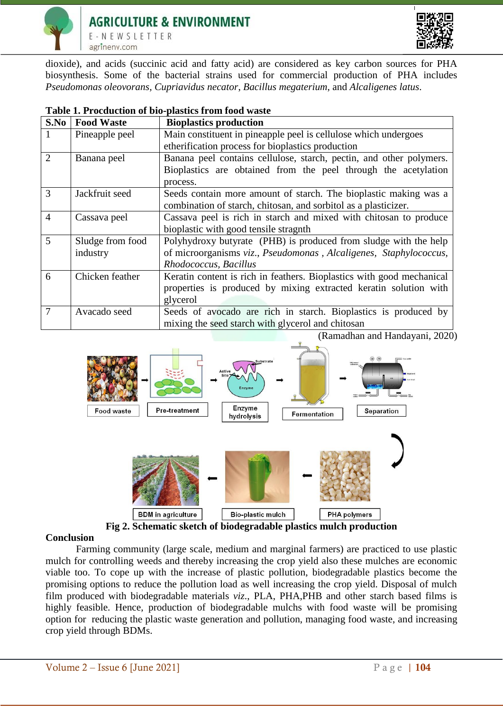



dioxide), and acids (succinic acid and fatty acid) are considered as key carbon sources for PHA biosynthesis. Some of the bacterial strains used for commercial production of PHA includes *Pseudomonas oleovorans, Cupriavidus necator*, *Bacillus megaterium*, and *Alcaligenes latus*.

| <b>PRODUCE II OIII TOOU WHOUT</b> |                   |                                                                       |
|-----------------------------------|-------------------|-----------------------------------------------------------------------|
| S.No                              | <b>Food Waste</b> | <b>Bioplastics production</b>                                         |
|                                   | Pineapple peel    | Main constituent in pineapple peel is cellulose which undergoes       |
|                                   |                   | etherification process for bioplastics production                     |
| $\overline{2}$                    | Banana peel       | Banana peel contains cellulose, starch, pectin, and other polymers.   |
|                                   |                   | Bioplastics are obtained from the peel through the acetylation        |
|                                   |                   | process.                                                              |
| 3                                 | Jackfruit seed    | Seeds contain more amount of starch. The bioplastic making was a      |
|                                   |                   | combination of starch, chitosan, and sorbitol as a plasticizer.       |
| $\overline{4}$                    | Cassava peel      | Cassava peel is rich in starch and mixed with chitosan to produce     |
|                                   |                   | bioplastic with good tensile stragnth                                 |
| 5                                 | Sludge from food  | Polyhydroxy butyrate (PHB) is produced from sludge with the help      |
|                                   | industry          | of microorganisms viz., Pseudomonas, Alcaligenes, Staphylococcus,     |
|                                   |                   | Rhodococcus, Bacillus                                                 |
| 6                                 | Chicken feather   | Keratin content is rich in feathers. Bioplastics with good mechanical |
|                                   |                   | properties is produced by mixing extracted keratin solution with      |
|                                   |                   | glycerol                                                              |
| 7                                 | Avacado seed      | Seeds of avocado are rich in starch. Bioplastics is produced by       |
|                                   |                   | mixing the seed starch with glycerol and chitosan                     |

### **Table 1. Procduction of bio-plastics from food waste**

(Ramadhan and Handayani, 2020)



#### **Conclusion**

Farming community (large scale, medium and marginal farmers) are practiced to use plastic mulch for controlling weeds and thereby increasing the crop yield also these mulches are economic viable too. To cope up with the increase of plastic pollution, biodegradable plastics become the promising options to reduce the pollution load as well increasing the crop yield. Disposal of mulch film produced with biodegradable materials *viz*., PLA, PHA,PHB and other starch based films is highly feasible. Hence, production of biodegradable mulchs with food waste will be promising option for reducing the plastic waste generation and pollution, managing food waste, and increasing crop yield through BDMs.